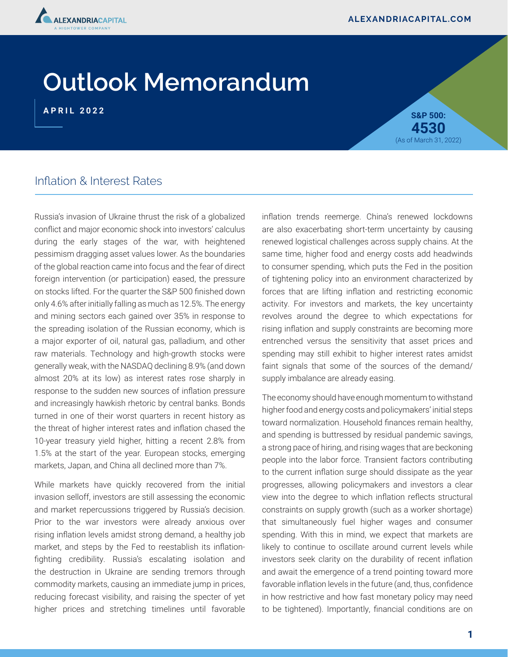

# **Outlook Memorandum**

**APRIL 2022 S&P 500: 4530** (As of March 31, 2022)

## Inflation & Interest Rates

Russia's invasion of Ukraine thrust the risk of a globalized conflict and major economic shock into investors' calculus during the early stages of the war, with heightened pessimism dragging asset values lower. As the boundaries of the global reaction came into focus and the fear of direct foreign intervention (or participation) eased, the pressure on stocks lifted. For the quarter the S&P 500 finished down only 4.6% after initially falling as much as 12.5%. The energy and mining sectors each gained over 35% in response to the spreading isolation of the Russian economy, which is a major exporter of oil, natural gas, palladium, and other raw materials. Technology and high-growth stocks were generally weak, with the NASDAQ declining 8.9% (and down almost 20% at its low) as interest rates rose sharply in response to the sudden new sources of inflation pressure and increasingly hawkish rhetoric by central banks. Bonds turned in one of their worst quarters in recent history as the threat of higher interest rates and inflation chased the 10-year treasury yield higher, hitting a recent 2.8% from 1.5% at the start of the year. European stocks, emerging markets, Japan, and China all declined more than 7%.

While markets have quickly recovered from the initial invasion selloff, investors are still assessing the economic and market repercussions triggered by Russia's decision. Prior to the war investors were already anxious over rising inflation levels amidst strong demand, a healthy job market, and steps by the Fed to reestablish its inflationfighting credibility. Russia's escalating isolation and the destruction in Ukraine are sending tremors through commodity markets, causing an immediate jump in prices, reducing forecast visibility, and raising the specter of yet higher prices and stretching timelines until favorable inflation trends reemerge. China's renewed lockdowns are also exacerbating short-term uncertainty by causing renewed logistical challenges across supply chains. At the same time, higher food and energy costs add headwinds to consumer spending, which puts the Fed in the position of tightening policy into an environment characterized by forces that are lifting inflation and restricting economic activity. For investors and markets, the key uncertainty revolves around the degree to which expectations for rising inflation and supply constraints are becoming more entrenched versus the sensitivity that asset prices and spending may still exhibit to higher interest rates amidst faint signals that some of the sources of the demand/ supply imbalance are already easing.

The economy should have enough momentum to withstand higher food and energy costs and policymakers' initial steps toward normalization. Household finances remain healthy, and spending is buttressed by residual pandemic savings, a strong pace of hiring, and rising wages that are beckoning people into the labor force. Transient factors contributing to the current inflation surge should dissipate as the year progresses, allowing policymakers and investors a clear view into the degree to which inflation reflects structural constraints on supply growth (such as a worker shortage) that simultaneously fuel higher wages and consumer spending. With this in mind, we expect that markets are likely to continue to oscillate around current levels while investors seek clarity on the durability of recent inflation and await the emergence of a trend pointing toward more favorable inflation levels in the future (and, thus, confidence in how restrictive and how fast monetary policy may need to be tightened). Importantly, financial conditions are on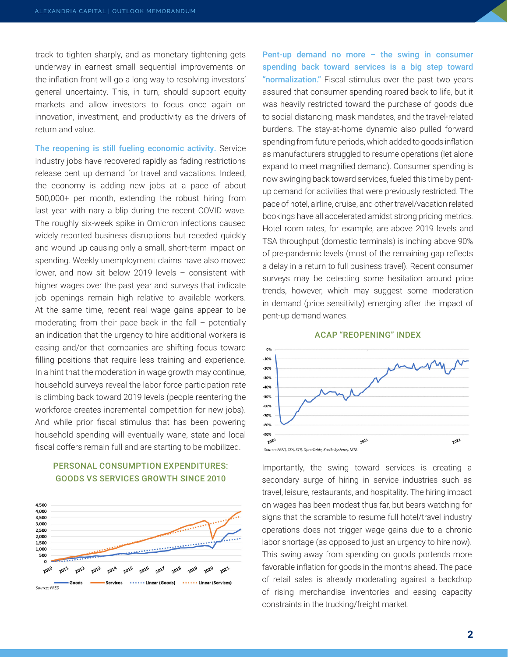track to tighten sharply, and as monetary tightening gets underway in earnest small sequential improvements on the inflation front will go a long way to resolving investors' general uncertainty. This, in turn, should support equity markets and allow investors to focus once again on innovation, investment, and productivity as the drivers of return and value.

The reopening is still fueling economic activity. Service industry jobs have recovered rapidly as fading restrictions release pent up demand for travel and vacations. Indeed, the economy is adding new jobs at a pace of about 500,000+ per month, extending the robust hiring from last year with nary a blip during the recent COVID wave. The roughly six-week spike in Omicron infections caused widely reported business disruptions but receded quickly and wound up causing only a small, short-term impact on spending. Weekly unemployment claims have also moved lower, and now sit below 2019 levels – consistent with higher wages over the past year and surveys that indicate job openings remain high relative to available workers. At the same time, recent real wage gains appear to be moderating from their pace back in the fall – potentially an indication that the urgency to hire additional workers is easing and/or that companies are shifting focus toward filling positions that require less training and experience. In a hint that the moderation in wage growth may continue, household surveys reveal the labor force participation rate is climbing back toward 2019 levels (people reentering the workforce creates incremental competition for new jobs). And while prior fiscal stimulus that has been powering household spending will eventually wane, state and local fiscal coffers remain full and are starting to be mobilized.

#### PERSONAL CONSUMPTION EXPENDITURES: GOODS VS SERVICES GROWTH SINCE 2010



Pent-up demand no more – the swing in consumer spending back toward services is a big step toward "normalization." Fiscal stimulus over the past two years assured that consumer spending roared back to life, but it was heavily restricted toward the purchase of goods due to social distancing, mask mandates, and the travel-related burdens. The stay-at-home dynamic also pulled forward spending from future periods, which added to goods inflation as manufacturers struggled to resume operations (let alone expand to meet magnified demand). Consumer spending is now swinging back toward services, fueled this time by pentup demand for activities that were previously restricted. The pace of hotel, airline, cruise, and other travel/vacation related bookings have all accelerated amidst strong pricing metrics. Hotel room rates, for example, are above 2019 levels and TSA throughput (domestic terminals) is inching above 90% of pre-pandemic levels (most of the remaining gap reflects a delay in a return to full business travel). Recent consumer surveys may be detecting some hesitation around price trends, however, which may suggest some moderation in demand (price sensitivity) emerging after the impact of pent-up demand wanes.





Importantly, the swing toward services is creating a secondary surge of hiring in service industries such as travel, leisure, restaurants, and hospitality. The hiring impact on wages has been modest thus far, but bears watching for signs that the scramble to resume full hotel/travel industry operations does not trigger wage gains due to a chronic labor shortage (as opposed to just an urgency to hire now). This swing away from spending on goods portends more favorable inflation for goods in the months ahead. The pace of retail sales is already moderating against a backdrop of rising merchandise inventories and easing capacity constraints in the trucking/freight market.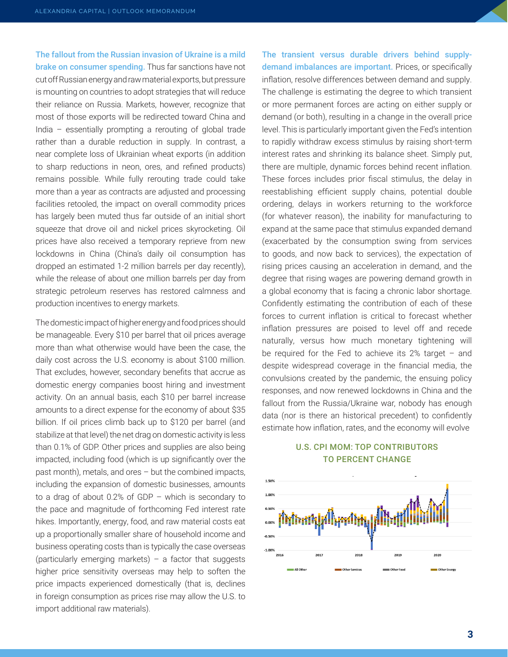The fallout from the Russian invasion of Ukraine is a mild brake on consumer spending. Thus far sanctions have not cut off Russian energy and raw material exports, but pressure is mounting on countries to adopt strategies that will reduce their reliance on Russia. Markets, however, recognize that most of those exports will be redirected toward China and India – essentially prompting a rerouting of global trade rather than a durable reduction in supply. In contrast, a near complete loss of Ukrainian wheat exports (in addition to sharp reductions in neon, ores, and refined products) remains possible. While fully rerouting trade could take more than a year as contracts are adjusted and processing facilities retooled, the impact on overall commodity prices has largely been muted thus far outside of an initial short squeeze that drove oil and nickel prices skyrocketing. Oil prices have also received a temporary reprieve from new lockdowns in China (China's daily oil consumption has dropped an estimated 1-2 million barrels per day recently), while the release of about one million barrels per day from strategic petroleum reserves has restored calmness and production incentives to energy markets.

The domestic impact of higher energy and food prices should be manageable. Every \$10 per barrel that oil prices average more than what otherwise would have been the case, the daily cost across the U.S. economy is about \$100 million. That excludes, however, secondary benefits that accrue as domestic energy companies boost hiring and investment activity. On an annual basis, each \$10 per barrel increase amounts to a direct expense for the economy of about \$35 billion. If oil prices climb back up to \$120 per barrel (and stabilize at that level) the net drag on domestic activity is less than 0.1% of GDP. Other prices and supplies are also being impacted, including food (which is up significantly over the past month), metals, and ores – but the combined impacts, including the expansion of domestic businesses, amounts to a drag of about 0.2% of GDP – which is secondary to the pace and magnitude of forthcoming Fed interest rate hikes. Importantly, energy, food, and raw material costs eat up a proportionally smaller share of household income and business operating costs than is typically the case overseas (particularly emerging markets) – a factor that suggests higher price sensitivity overseas may help to soften the price impacts experienced domestically (that is, declines in foreign consumption as prices rise may allow the U.S. to import additional raw materials).

The transient versus durable drivers behind supplydemand imbalances are important. Prices, or specifically inflation, resolve differences between demand and supply. The challenge is estimating the degree to which transient or more permanent forces are acting on either supply or demand (or both), resulting in a change in the overall price level. This is particularly important given the Fed's intention to rapidly withdraw excess stimulus by raising short-term interest rates and shrinking its balance sheet. Simply put, there are multiple, dynamic forces behind recent inflation. These forces includes prior fiscal stimulus, the delay in reestablishing efficient supply chains, potential double ordering, delays in workers returning to the workforce (for whatever reason), the inability for manufacturing to expand at the same pace that stimulus expanded demand (exacerbated by the consumption swing from services to goods, and now back to services), the expectation of rising prices causing an acceleration in demand, and the degree that rising wages are powering demand growth in a global economy that is facing a chronic labor shortage. Confidently estimating the contribution of each of these forces to current inflation is critical to forecast whether inflation pressures are poised to level off and recede naturally, versus how much monetary tightening will be required for the Fed to achieve its 2% target – and despite widespread coverage in the financial media, the convulsions created by the pandemic, the ensuing policy responses, and now renewed lockdowns in China and the fallout from the Russia/Ukraine war, nobody has enough data (nor is there an historical precedent) to confidently estimate how inflation, rates, and the economy will evolve

#### U.S. CPI MOM: TOP CONTRIBUTORS TO PERCENT CHANGE

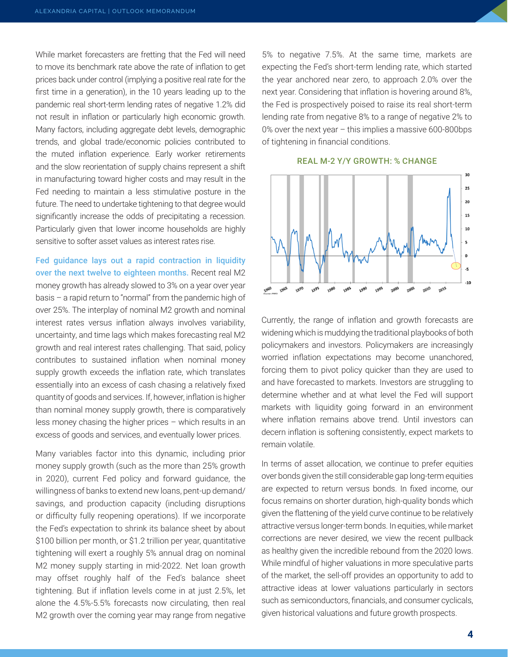While market forecasters are fretting that the Fed will need to move its benchmark rate above the rate of inflation to get prices back under control (implying a positive real rate for the first time in a generation), in the 10 years leading up to the pandemic real short-term lending rates of negative 1.2% did not result in inflation or particularly high economic growth. Many factors, including aggregate debt levels, demographic trends, and global trade/economic policies contributed to the muted inflation experience. Early worker retirements and the slow reorientation of supply chains represent a shift in manufacturing toward higher costs and may result in the Fed needing to maintain a less stimulative posture in the future. The need to undertake tightening to that degree would significantly increase the odds of precipitating a recession. Particularly given that lower income households are highly sensitive to softer asset values as interest rates rise.

Fed guidance lays out a rapid contraction in liquidity over the next twelve to eighteen months. Recent real M2 money growth has already slowed to 3% on a year over year basis – a rapid return to "normal" from the pandemic high of over 25%. The interplay of nominal M2 growth and nominal interest rates versus inflation always involves variability, uncertainty, and time lags which makes forecasting real M2 growth and real interest rates challenging. That said, policy contributes to sustained inflation when nominal money supply growth exceeds the inflation rate, which translates essentially into an excess of cash chasing a relatively fixed quantity of goods and services. If, however, inflation is higher than nominal money supply growth, there is comparatively less money chasing the higher prices – which results in an excess of goods and services, and eventually lower prices.

Many variables factor into this dynamic, including prior money supply growth (such as the more than 25% growth in 2020), current Fed policy and forward guidance, the willingness of banks to extend new loans, pent-up demand/ savings, and production capacity (including disruptions or difficulty fully reopening operations). If we incorporate the Fed's expectation to shrink its balance sheet by about \$100 billion per month, or \$1.2 trillion per year, quantitative tightening will exert a roughly 5% annual drag on nominal M2 money supply starting in mid-2022. Net loan growth may offset roughly half of the Fed's balance sheet tightening. But if inflation levels come in at just 2.5%, let alone the 4.5%-5.5% forecasts now circulating, then real M2 growth over the coming year may range from negative 5% to negative 7.5%. At the same time, markets are expecting the Fed's short-term lending rate, which started the year anchored near zero, to approach 2.0% over the next year. Considering that inflation is hovering around 8%, the Fed is prospectively poised to raise its real short-term lending rate from negative 8% to a range of negative 2% to 0% over the next year – this implies a massive 600-800bps of tightening in financial conditions.





Currently, the range of inflation and growth forecasts are widening which is muddying the traditional playbooks of both policymakers and investors. Policymakers are increasingly worried inflation expectations may become unanchored, forcing them to pivot policy quicker than they are used to and have forecasted to markets. Investors are struggling to determine whether and at what level the Fed will support markets with liquidity going forward in an environment where inflation remains above trend. Until investors can decern inflation is softening consistently, expect markets to remain volatile.

In terms of asset allocation, we continue to prefer equities over bonds given the still considerable gap long-term equities are expected to return versus bonds. In fixed income, our focus remains on shorter duration, high-quality bonds which given the flattening of the yield curve continue to be relatively attractive versus longer-term bonds. In equities, while market corrections are never desired, we view the recent pullback as healthy given the incredible rebound from the 2020 lows. While mindful of higher valuations in more speculative parts of the market, the sell-off provides an opportunity to add to attractive ideas at lower valuations particularly in sectors such as semiconductors, financials, and consumer cyclicals, given historical valuations and future growth prospects.